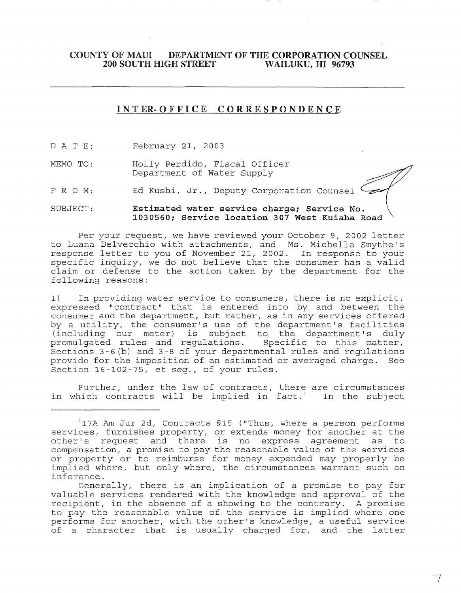## **COUNTY OF MAUI DEPARTMENT OF THE CORPORATION COUNSEL<br>200 SOUTH HIGH STREET WAILUKU, HI 96793 200 SOUTH HIGH STREET**

## I N **T ER- 0 F F** ICE COR RES P 0 N DEN **C E**

- D ATE: February 21, 2003
- MEMO TO: Holly Perdido, Fiscal Officer Department of Water Supply
- FRO M: Ed Kushi, Jr., Deputy Corporation Counsel

## SUBJECT: **Estimated water service charge; Service No. 1030560; Service location 307 West Kuiaha Road**

Per your request, we have reviewed your October 9, 2002 letter to Luana Delvecchio with attachments, and Ms. Michelle Smythe's response letter to you of November 21, 2002. In response to your specific inquiry, we do not believe that the consumer has a valid claim or defense to the action taken by the department for the following reasons:

1) In providing water service to consumers, there is no explicit, expressed "contract" that is entered into by and between the consumer and the department, but rather, as in any services offered by a utility, the consumer's use of the department's facilities (including our meter) is subject to the department's duly<br>promulgated rules and regulations. Specific to this matter, promulgated rules and regulations. Sections 3-6(b) and 3-8 of your departmental rules and regulations provide for the imposition of an estimated or averaged charge. See Section 16-102-75, et *seq.,* of your rules.

Further, under the law of contracts, there are circumstances<br>nich contracts will be implied in fact.<sup>1</sup> In the subject in which contracts will be implied in fact.<sup>1</sup>

Generally, there is an implication of a promise to pay for valuable services rendered with the knowledge and approval of the recipient, in the absence of a showing to the contrary. A promise to pay the reasonable value of the service is implied where one performs for another, with the other's knowledge, a useful service of a character that is usually charged for, and the latter

I

 $1$ 17A Am Jur 2d, Contracts §15 ("Thus, where a person performs services, furnishes property, or extends money for another at the<br>other's request and there is no express agreement as to other's request and there is no express agreement as compensation, a promise to pay the reasonable value of the services or property or to reimburse for money expended may properly be implied where, but only where, the circumstances warrant such an inference.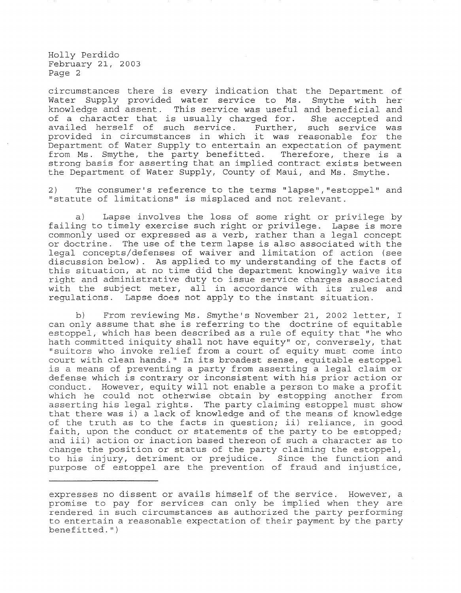Holly Perdido February 21, 2003 Page 2

circumstances there is every indication that the Department of Water Supply provided water service to Ms. Smythe with her knowledge and assent. This service was useful and beneficial and of a character that is usually charged for. She accepted and<br>availed herself of such service. Further, such service was availed herself of such service. provided in circumstances in which it was reasonable for the Department of Water Supply to entertain an expectation of payment from Ms. Smythe, the party benefitted. Therefore, there is a strong basis for asserting that an implied contract exists between the Department of Water Supply, County of Maui, and Ms. Smythe.

2) The consumer's reference to the terms "lapse", "estoppel" and "statute of limitations" is misplaced and not relevant.

a) Lapse involves the loss of some right or privilege by failing to timely exercise such right or privilege. Lapse is more commonly used or expressed as a verb, rather than a legal concept or doctrine. The use of the term lapse is also associated with the legal concepts/defenses of waiver and limitation of action (see discussion below). As applied to my understanding of the facts of this situation, at no time did the department knowingly waive its right and administrative duty to issue service charges associated with the subject meter, all in accordance with its rules and regulations. Lapse does not apply to the instant situation.

b) From reviewing Ms. Smythe's November 21, 2002 letter, I can only assume that she is referring to the doctrine of equitable estoppel, which has been described as a rule of equity that "he who hath committed iniquity shall not have equity" or, conversely, that "suitors who invoke relief from a court of equity must come into court with clean hands." In its broadest sense, equitable estoppel is a means of preventing a party from asserting a legal claim or defense which is contrary or inconsistent with his prior action or conduct. However, equity will not enable a person to make a profit which he could not otherwise obtain by estopping another from asserting his legal rights. The party claiming estoppel must show that there was i) a lack of knowledge and of the means of knowledge of the truth as to the facts in question; ii) reliance, in good faith, upon the conduct or statements of the party to be estopped; and iii) action or inaction based thereon of such a character as to change the position or status of the party claiming the estoppel, to his injury, detriment or prejudice. Since the function and purpose of estoppel are the prevention of fraud and injustice,

expresses no dissent or avails himself of the service. However, a promise to pay for services can only be implied when they are rendered in such circumstances as authorized the party performing to entertain a reasonable expectation of their payment by the party  $benefitted.$  ")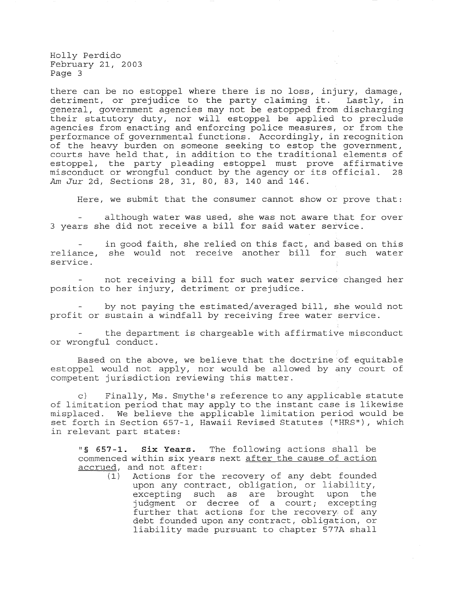Holly Perdido February 21, 2003 Page 3

there can be no estoppel where there is no loss, injury, damage, detriment, or prejudice to the party claiming it. Lastly, in general, government agencies may not be estopped from discharging their statutory duty, nor will estoppel be applied to preclude agencies from enacting and enforcing police measures, or from the performance of governmental functions. Accordingly, in recognition of the heavy burden on someone seeking to estop the government, courts have held that, in addition to the traditional elements of estoppel, the party pleading estoppel must prove affirmative<br>misconduct or wrongful conduct by the agency or its official. 28 misconduct or wrongful conduct by the agency or its official. *Am Jur* 2d, Sections 28, 31, 80, 83, 140 and 146.

Here, we submit that the consumer cannot show or prove that:

although water was used, she was not aware that for over 3 years she did not receive a bill for said water service.

in good faith, she relied on this fact, and based on this reliance, she would not receive another bill for such water service.

not receiving a bill for such water service changed her position to her injury, detriment or prejudice.

by not paying the estimated/averaged bill, she would not profit or sustain a windfall by receiving free water service.

the department is chargeable with affirmative misconduct or wrongful conduct.

Based on the above, we believe that the doctrine of equitable estoppel would not apply, nor would be allowed by any court of competent jurisdiction reviewing this matter.

c) Finally, Ms. Smythe's reference to any applicable statute of limitation period that may apply to the instant case is likewise misplaced. We believe the applicable limitation period would be set forth in Section 657-1, Hawaii Revised Statutes ("HRS"), which in relevant part states:

**"§ 657-1. Six Years.** The following actions shall be commenced within six years next after the cause of action  $\frac{\text{acerved}}{1}$ , and not after:<br>(1) Actions for t

Actions for the recovery of any debt founded upon any contract, obligation, or liability, excepting such as are brought upon the  $judgment$  or decree of a court; excepting further that actions for the recovery of any debt founded upon any contract, obligation, or liability made pursuant to chapter 577A shall